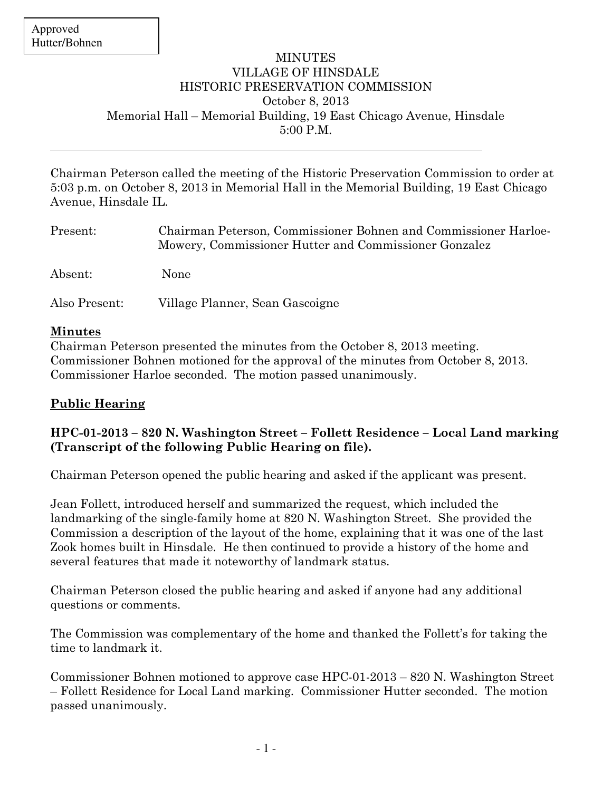$\overline{a}$ 

## MINUTES VILLAGE OF HINSDALE HISTORIC PRESERVATION COMMISSION October 8, 2013 Memorial Hall – Memorial Building, 19 East Chicago Avenue, Hinsdale 5:00 P.M.

Chairman Peterson called the meeting of the Historic Preservation Commission to order at 5:03 p.m. on October 8, 2013 in Memorial Hall in the Memorial Building, 19 East Chicago Avenue, Hinsdale IL.

| Present:      | Chairman Peterson, Commissioner Bohnen and Commissioner Harloe-<br>Mowery, Commissioner Hutter and Commissioner Gonzalez |
|---------------|--------------------------------------------------------------------------------------------------------------------------|
| Absent:       | None                                                                                                                     |
| Also Present: | Village Planner, Sean Gascoigne                                                                                          |

#### Minutes

Chairman Peterson presented the minutes from the October 8, 2013 meeting. Commissioner Bohnen motioned for the approval of the minutes from October 8, 2013. Commissioner Harloe seconded. The motion passed unanimously.

# Public Hearing

## HPC-01-2013 – 820 N. Washington Street – Follett Residence – Local Land marking (Transcript of the following Public Hearing on file).

Chairman Peterson opened the public hearing and asked if the applicant was present.

Jean Follett, introduced herself and summarized the request, which included the landmarking of the single-family home at 820 N. Washington Street. She provided the Commission a description of the layout of the home, explaining that it was one of the last Zook homes built in Hinsdale. He then continued to provide a history of the home and several features that made it noteworthy of landmark status.

Chairman Peterson closed the public hearing and asked if anyone had any additional questions or comments.

The Commission was complementary of the home and thanked the Follett's for taking the time to landmark it.

Commissioner Bohnen motioned to approve case HPC-01-2013 – 820 N. Washington Street – Follett Residence for Local Land marking. Commissioner Hutter seconded. The motion passed unanimously.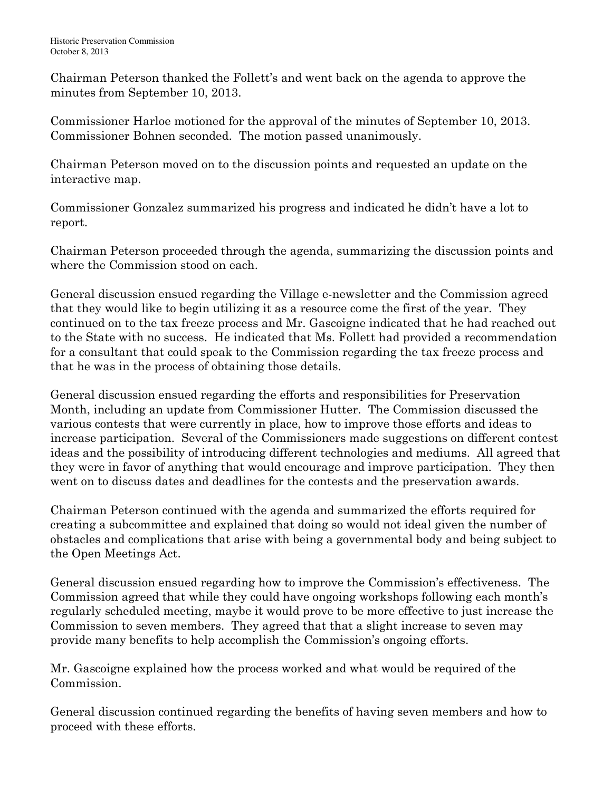Chairman Peterson thanked the Follett's and went back on the agenda to approve the minutes from September 10, 2013.

Commissioner Harloe motioned for the approval of the minutes of September 10, 2013. Commissioner Bohnen seconded. The motion passed unanimously.

Chairman Peterson moved on to the discussion points and requested an update on the interactive map.

Commissioner Gonzalez summarized his progress and indicated he didn't have a lot to report.

Chairman Peterson proceeded through the agenda, summarizing the discussion points and where the Commission stood on each.

General discussion ensued regarding the Village e-newsletter and the Commission agreed that they would like to begin utilizing it as a resource come the first of the year. They continued on to the tax freeze process and Mr. Gascoigne indicated that he had reached out to the State with no success. He indicated that Ms. Follett had provided a recommendation for a consultant that could speak to the Commission regarding the tax freeze process and that he was in the process of obtaining those details.

General discussion ensued regarding the efforts and responsibilities for Preservation Month, including an update from Commissioner Hutter. The Commission discussed the various contests that were currently in place, how to improve those efforts and ideas to increase participation. Several of the Commissioners made suggestions on different contest ideas and the possibility of introducing different technologies and mediums. All agreed that they were in favor of anything that would encourage and improve participation. They then went on to discuss dates and deadlines for the contests and the preservation awards.

Chairman Peterson continued with the agenda and summarized the efforts required for creating a subcommittee and explained that doing so would not ideal given the number of obstacles and complications that arise with being a governmental body and being subject to the Open Meetings Act.

General discussion ensued regarding how to improve the Commission's effectiveness. The Commission agreed that while they could have ongoing workshops following each month's regularly scheduled meeting, maybe it would prove to be more effective to just increase the Commission to seven members. They agreed that that a slight increase to seven may provide many benefits to help accomplish the Commission's ongoing efforts.

Mr. Gascoigne explained how the process worked and what would be required of the Commission.

General discussion continued regarding the benefits of having seven members and how to proceed with these efforts.